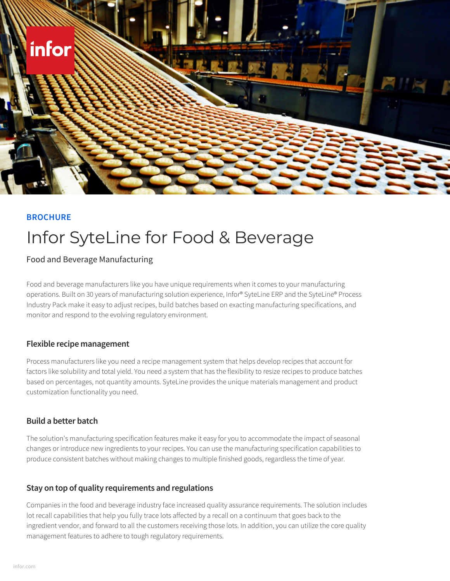

## **BROCHURE**

# Infor SyteLine for Food & Beverage

Food and Beverage Manufacturing

Food and beverage manufacturers like you have unique requirements when it comes to your manufacturing operations. Built on 30 years of manufacturing solution experience, Infor® SyteLine ERP and the SyteLine® Process Industry Pack make it easy to adjust recipes, build batches based on exacting manufacturing specifications, and monitor and respond to the evolving regulatory environment.

#### **Flexible recipe management**

Process manufacturers like you need a recipe management system that helps develop recipes that account for factors like solubility and total yield. You need a system that has the flexibility to resize recipes to produce batches based on percentages, not quantity amounts. SyteLine provides the unique materials management and product customization functionality you need.

#### **Build a better batch**

The solution's manufacturing specification features make it easy for you to accommodate the impact of seasonal changes or introduce new ingredients to your recipes. You can use the manufacturing specification capabilities to produce consistent batches without making changes to multiple finished goods, regardless the time of year.

# **Stay on top of quality requirements and regulations**

Companies in the food and beverage industry face increased quality assurance requirements. The solution includes lot recall capabilities that help you fully trace lots affected by a recall on a continuum that goes back to the ingredient vendor, and forward to all the customers receiving those lots. In addition, you can utilize the core quality management features to adhere to tough regulatory requirements.